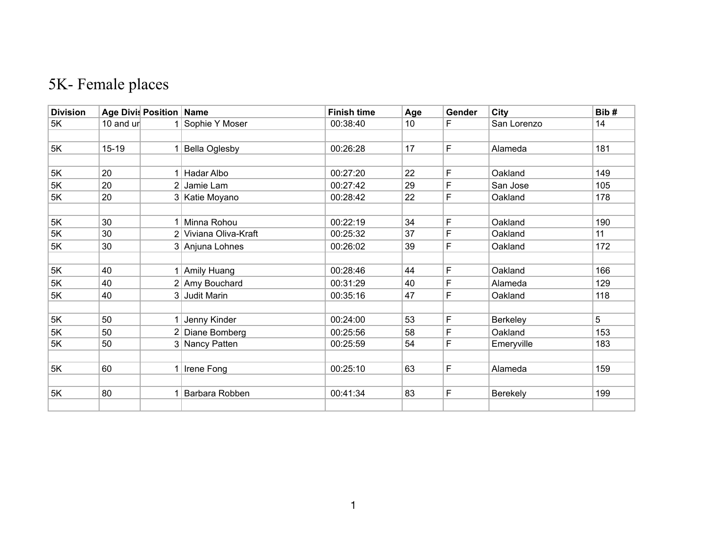## 5K- Female places

| <b>Division</b> | Age Divis Position Name |                |                       | <b>Finish time</b> | Age | Gender | City        | Bib# |
|-----------------|-------------------------|----------------|-----------------------|--------------------|-----|--------|-------------|------|
| 5K              | 10 and ur               |                | Sophie Y Moser        | 00:38:40           | 10  | F      | San Lorenzo | 14   |
|                 |                         |                |                       |                    |     |        |             |      |
| 5K              | $15 - 19$               |                | <b>Bella Oglesby</b>  | 00:26:28           | 17  | F      | Alameda     | 181  |
|                 |                         |                |                       |                    |     |        |             |      |
| 5K              | 20                      | 1 <sup>1</sup> | Hadar Albo            | 00:27:20           | 22  | F      | Oakland     | 149  |
| 5K              | 20                      | 2 <sup>1</sup> | Jamie Lam             | 00:27:42           | 29  | F      | San Jose    | 105  |
| 5K              | 20                      |                | 3 Katie Moyano        | 00:28:42           | 22  | F      | Oakland     | 178  |
|                 |                         |                |                       |                    |     |        |             |      |
| 5K              | 30                      |                | 1 Minna Rohou         | 00:22:19           | 34  | F      | Oakland     | 190  |
| 5K              | 30                      |                | 2 Viviana Oliva-Kraft | 00:25:32           | 37  | F      | Oakland     | 11   |
| 5K              | 30                      |                | 3 Anjuna Lohnes       | 00:26:02           | 39  | F      | Oakland     | 172  |
|                 |                         |                |                       |                    |     |        |             |      |
| 5K              | 40                      |                | 1 Amily Huang         | 00:28:46           | 44  | F      | Oakland     | 166  |
| 5K              | 40                      |                | 2 Amy Bouchard        | 00:31:29           | 40  | F      | Alameda     | 129  |
| 5K              | 40                      | 3 <sup>1</sup> | Judit Marin           | 00:35:16           | 47  | F      | Oakland     | 118  |
|                 |                         |                |                       |                    |     |        |             |      |
| 5K              | 50                      |                | Jenny Kinder          | 00:24:00           | 53  | F      | Berkeley    | 5    |
| 5K              | 50                      |                | 2 Diane Bomberg       | 00:25:56           | 58  | F      | Oakland     | 153  |
| 5K              | 50                      |                | 3 Nancy Patten        | 00:25:59           | 54  | F      | Emeryville  | 183  |
|                 |                         |                |                       |                    |     |        |             |      |
| 5K              | 60                      |                | 1 Irene Fong          | 00:25:10           | 63  | F      | Alameda     | 159  |
|                 |                         |                |                       |                    |     |        |             |      |
| 5K              | 80                      | 1              | Barbara Robben        | 00:41:34           | 83  | F      | Berekely    | 199  |
|                 |                         |                |                       |                    |     |        |             |      |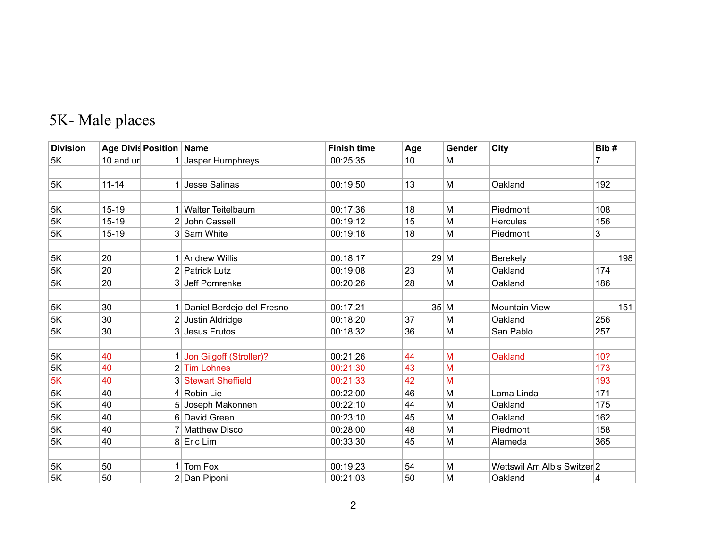## 5K- Male places

| <b>Division</b> | Age Divis Position   Name |  |                             | <b>Finish time</b> | Age             | Gender | City                        | Bib#         |
|-----------------|---------------------------|--|-----------------------------|--------------------|-----------------|--------|-----------------------------|--------------|
| 5K              | 10 and un                 |  | Jasper Humphreys            | 00:25:35           | 10 <sup>°</sup> | M      |                             | 7            |
|                 |                           |  |                             |                    |                 |        |                             |              |
| 5K              | $11 - 14$                 |  | 1 Jesse Salinas             | 00:19:50           | 13              | M      | Oakland                     | 192          |
|                 |                           |  |                             |                    |                 |        |                             |              |
| 5K              | $15 - 19$                 |  | 1 Walter Teitelbaum         | 00:17:36           | 18              | M      | Piedmont                    | 108          |
| 5K              | $15 - 19$                 |  | 2 John Cassell              | 00:19:12           | 15              | M      | <b>Hercules</b>             | 156          |
| 5K              | $15 - 19$                 |  | 3 Sam White                 | 00:19:18           | 18              | M      | Piedmont                    | $\mathbf{3}$ |
|                 |                           |  |                             |                    |                 |        |                             |              |
| 5K              | 20                        |  | 1 Andrew Willis             | 00:18:17           | 29 M            |        | Berekely                    | 198          |
| 5K              | 20                        |  | 2 Patrick Lutz              | 00:19:08           | 23              | M      | Oakland                     | 174          |
| 5K              | 20                        |  | 3 Jeff Pomrenke             | 00:20:26           | 28              | M      | Oakland                     | 186          |
|                 |                           |  |                             |                    |                 |        |                             |              |
| 5K              | 30                        |  | 1 Daniel Berdejo-del-Fresno | 00:17:21           | 35 M            |        | <b>Mountain View</b>        | 151          |
| 5K              | 30                        |  | 2 Justin Aldridge           | 00:18:20           | 37              | M      | Oakland                     | 256          |
| 5K              | 30                        |  | 3 Jesus Frutos              | 00:18:32           | 36              | M      | San Pablo                   | 257          |
|                 |                           |  |                             |                    |                 |        |                             |              |
| 5K              | 40                        |  | 1 Jon Gilgoff (Stroller)?   | 00:21:26           | 44              | M      | Oakland                     | 10?          |
| 5K              | 40                        |  | 2 Tim Lohnes                | 00:21:30           | 43              | M      |                             | 173          |
| 5K              | 40                        |  | 3 Stewart Sheffield         | 00:21:33           | 42              | M      |                             | 193          |
| 5K              | 40                        |  | $4 $ Robin Lie              | 00:22:00           | 46              | M      | Loma Linda                  | 171          |
| $5K$            | 40                        |  | 5 Joseph Makonnen           | 00:22:10           | 44              | M      | Oakland                     | 175          |
| 5K              | 40                        |  | 6 David Green               | 00:23:10           | 45              | M      | Oakland                     | 162          |
| 5K              | 40                        |  | 7 Matthew Disco             | 00:28:00           | 48              | M      | Piedmont                    | 158          |
| 5K              | 40                        |  | 8 Eric Lim                  | 00:33:30           | 45              | M      | Alameda                     | 365          |
|                 |                           |  |                             |                    |                 |        |                             |              |
| 5K              | 50                        |  | 1 Tom Fox                   | 00:19:23           | 54              | M      | Wettswil Am Albis Switzer 2 |              |
| 5K              | 50                        |  | 2 Dan Piponi                | 00:21:03           | 50              | M      | Oakland                     | 4            |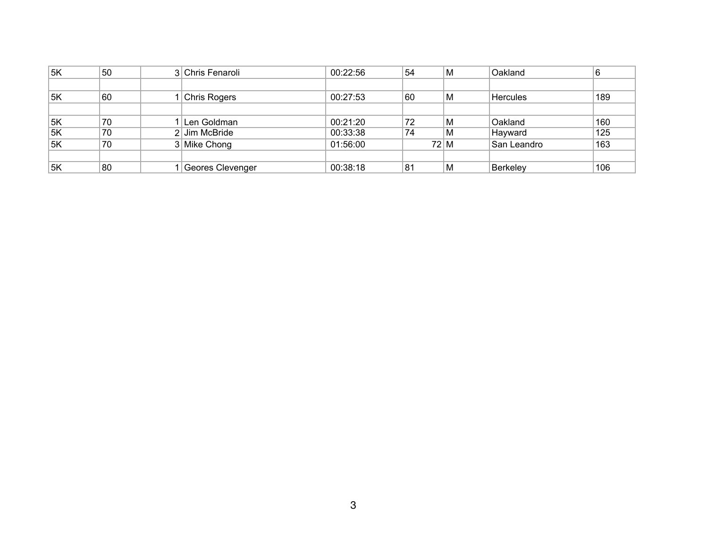| 5K | 50 | 3 Chris Fenaroli | 00:22:56 | !54 | M                | Oakland         | 6   |
|----|----|------------------|----------|-----|------------------|-----------------|-----|
|    |    |                  |          |     |                  |                 |     |
| 5K | 60 | Chris Rogers     | 00:27:53 | 60  | M                | <b>Hercules</b> | 189 |
|    |    |                  |          |     |                  |                 |     |
| 5K | 70 | Len Goldman      | 00:21:20 | 72  | M                | Oakland         | 160 |
| 5K | 70 | $2$ Jim McBride  | 00:33:38 | 74  | M                | Hayward         | 125 |
| 5K | 70 | 3 Mike Chong     | 01:56:00 |     | $72 \, \text{M}$ | San Leandro     | 163 |
|    |    |                  |          |     |                  |                 |     |
| 5K | 80 | Geores Clevenger | 00:38:18 | 81  | M                | Berkeley        | 106 |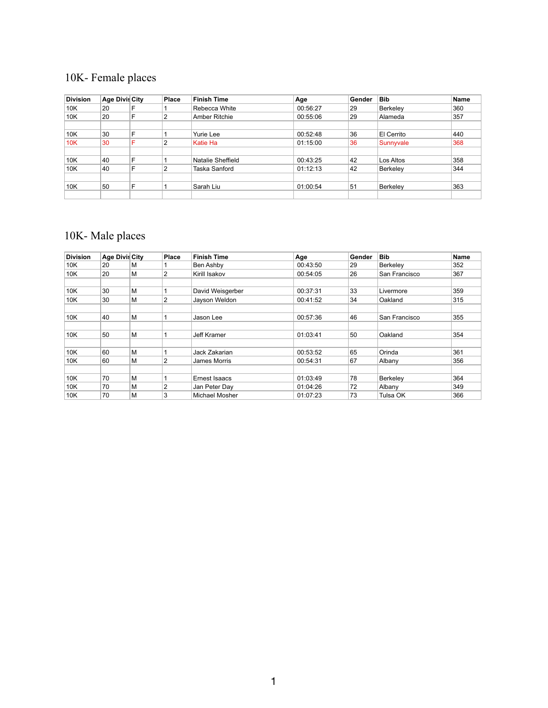## 10K- Female places

| <b>Division</b> | <b>Age Divis City</b> |   | Place | <b>Finish Time</b>   | Age      | Gender | <b>Bib</b> | <b>Name</b> |
|-----------------|-----------------------|---|-------|----------------------|----------|--------|------------|-------------|
| 10K             | 20                    | F |       | Rebecca White        | 00:56:27 | 29     | Berkeley   | 360         |
| 10K             | 20                    | F | 2     | <b>Amber Ritchie</b> | 00:55:06 | 29     | Alameda    | 357         |
|                 |                       |   |       |                      |          |        |            |             |
| 10K             | 30                    | F |       | Yurie Lee            | 00:52:48 | 36     | El Cerrito | 440         |
| 10K             | 30                    | F | 2     | Katie Ha             | 01:15:00 | 36     | Sunnyvale  | 368         |
|                 |                       |   |       |                      |          |        |            |             |
| 10K             | 40                    | F |       | Natalie Sheffield    | 00:43:25 | 42     | Los Altos  | 358         |
| 10K             | 40                    | F | 2     | Taska Sanford        | 01:12:13 | 42     | Berkeley   | 344         |
|                 |                       |   |       |                      |          |        |            |             |
| 10K             | 50                    | F |       | Sarah Liu            | 01:00:54 | 51     | Berkeley   | 363         |
|                 |                       |   |       |                      |          |        |            |             |

## 10K- Male places

| <b>Division</b> | Age Divis City |   | <b>Place</b>   | <b>Finish Time</b> | Age      | Gender | <b>Bib</b>    | <b>Name</b> |
|-----------------|----------------|---|----------------|--------------------|----------|--------|---------------|-------------|
| 10K             | 20             | м |                | Ben Ashby          | 00:43:50 | 29     | Berkeley      | 352         |
| 10K             | 20             | M | $\overline{2}$ | Kirill Isakov      | 00:54:05 | 26     | San Francisco | 367         |
|                 |                |   |                |                    |          |        |               |             |
| 10K             | 30             | м |                | David Weisgerber   | 00:37:31 | 33     | Livermore     | 359         |
| 10K             | 30             | M | $\overline{c}$ | Jayson Weldon      | 00:41:52 | 34     | Oakland       | 315         |
|                 |                |   |                |                    |          |        |               |             |
| 10K             | 40             | M |                | Jason Lee          | 00:57:36 | 46     | San Francisco | 355         |
|                 |                |   |                |                    |          |        |               |             |
| 10K             | 50             | M |                | <b>Jeff Kramer</b> | 01:03:41 | 50     | Oakland       | 354         |
|                 |                |   |                |                    |          |        |               |             |
| 10K             | 60             | M |                | Jack Zakarian      | 00:53:52 | 65     | Orinda        | 361         |
| 10K             | 60             | M | 2              | James Morris       | 00:54:31 | 67     | Albany        | 356         |
|                 |                |   |                |                    |          |        |               |             |
| 10K             | 70             | M |                | Ernest Isaacs      | 01:03:49 | 78     | Berkeley      | 364         |
| 10K             | 70             | M | 2              | Jan Peter Day      | 01:04:26 | 72     | Albany        | 349         |
| 10K             | 70             | M | 3              | Michael Mosher     | 01:07:23 | 73     | Tulsa OK      | 366         |